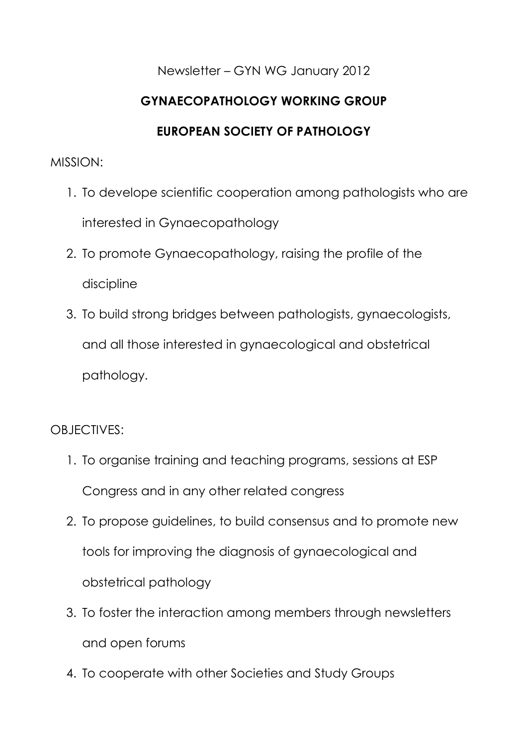## Newsletter – GYN WG January 2012

# **GYNAECOPATHOLOGY WORKING GROUP**

## **EUROPEAN SOCIETY OF PATHOLOGY**

#### MISSION:

- 1. To develope scientific cooperation among pathologists who are interested in Gynaecopathology
- 2. To promote Gynaecopathology, raising the profile of the discipline
- 3. To build strong bridges between pathologists, gynaecologists, and all those interested in gynaecological and obstetrical pathology.

## OBJECTIVES:

- 1. To organise training and teaching programs, sessions at ESP Congress and in any other related congress
- 2. To propose guidelines, to build consensus and to promote new tools for improving the diagnosis of gynaecological and obstetrical pathology
- 3. To foster the interaction among members through newsletters and open forums
- 4. To cooperate with other Societies and Study Groups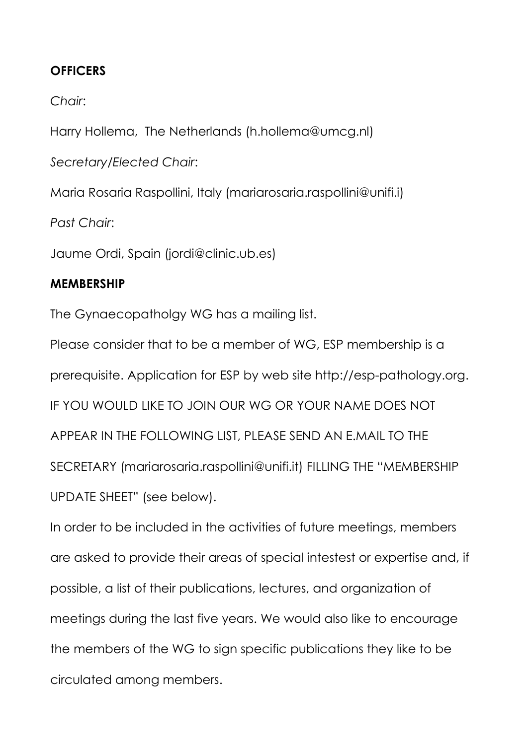### **OFFICERS**

*Chair*:

Harry Hollema, The Netherlands (h.hollema@umcg.nl)

*Secretary/Elected Chair*:

Maria Rosaria Raspollini, Italy (mariarosaria.raspollini@unifi.i)

*Past Chair*:

Jaume Ordi, Spain (jordi@clinic.ub.es)

### **MEMBERSHIP**

The Gynaecopatholgy WG has a mailing list.

Please consider that to be a member of WG, ESP membership is a prerequisite. Application for ESP by web site http://esp-pathology.org. IF YOU WOULD LIKE TO JOIN OUR WG OR YOUR NAME DOES NOT APPEAR IN THE FOLLOWING LIST, PLEASE SEND AN E.MAIL TO THE SECRETARY (mariarosaria.raspollini@unifi.it) FILLING THE "MEMBERSHIP UPDATE SHEET" (see below).

In order to be included in the activities of future meetings, members are asked to provide their areas of special intestest or expertise and, if possible, a list of their publications, lectures, and organization of meetings during the last five years. We would also like to encourage the members of the WG to sign specific publications they like to be circulated among members.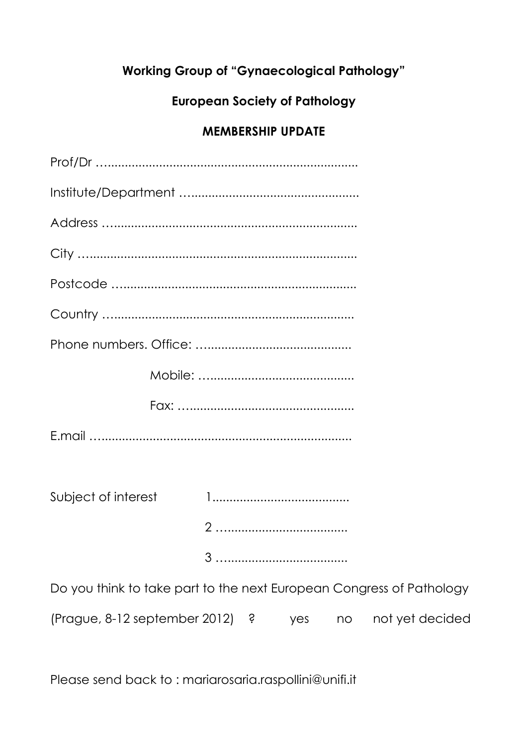# **Working Group of "Gynaecological Pathology"**

# **European Society of Pathology**

# **MEMBERSHIP UPDATE**

| Subject of interest                                                  |  |   |     |    |                 |
|----------------------------------------------------------------------|--|---|-----|----|-----------------|
|                                                                      |  |   |     |    |                 |
|                                                                      |  |   |     |    |                 |
| Do you think to take part to the next European Congress of Pathology |  |   |     |    |                 |
| (Prague, 8-12 september 2012)                                        |  | Ś | yes | no | not yet decided |

Please send back to : mariarosaria.raspollini@unifi.it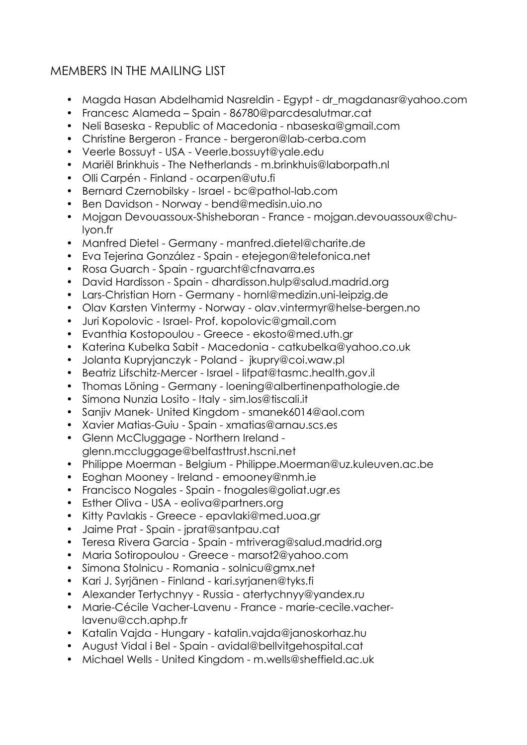## MEMBERS IN THE MAILING LIST

- Magda Hasan Abdelhamid Nasreldin Egypt dr\_magdanasr@yahoo.com
- Francesc Alameda Spain 86780@parcdesalutmar.cat
- Neli Baseska Republic of Macedonia nbaseska@gmail.com
- Christine Bergeron France bergeron@lab-cerba.com
- Veerle Bossuyt - [USA Veerle.bossuyt@yale.edu](mailto:USA-Veerle.bossuyt@yale.edu)
- Mariël Brinkhuis The Netherlands m.brinkhuis@laborpath.nl
- Olli Carpén Finland - [ocarpen@utu.fi](mailto:ocarpen@utu.fi)
- Bernard Czernobilsky Israel bc@pathol-lab.com
- Ben Davidson Norway bend@medisin.uio.no
- Mojgan Devouassoux-Shisheboran France mojgan.devouassoux@chulyon.fr
- Manfred Dietel Germany manfred.dietel@charite.de
- Eva Tejerina González Spain etejegon@telefonica.net
- Rosa Guarch Spain rguarcht@cfnavarra.es
- David Hardisson Spain dhardisson.hulp@salud.madrid.org
- Lars-Christian Horn Germany hornl@medizin.uni-leipzig.de
- Olav Karsten Vintermy Norway olav.vintermyr@helse-bergen.no
- Juri Kopolovic Israel- Prof. kopolovic@gmail.com
- Evanthia Kostopoulou Greece ekosto@med.uth.gr
- Katerina Kubelka Sabit Macedonia catkubelka@yahoo.co.uk
- Jolanta Kupryjanczyk Poland [jkupry@coi.waw.pl](mailto:jkupry@coi.waw.pl)
- Beatriz Lifschitz-Mercer Israel lifpat@tasmc.health.gov.il
- Thomas Löning Germany - [loening@albertinenpathologie.de](mailto:loening@albertinenpathologie.de)
- Simona Nunzia Losito Italy sim.los@tiscali.it
- Sanjiv Manek- United Kingdom smanek6014@aol.com
- Xavier Matias-Guiu Spain xmatias@arnau.scs.es
- Glenn McCluggage Northern Ireland glenn.mccluggage@belfasttrust.hscni.net
- Philippe Moerman Belgium Philippe.Moerman@uz.kuleuven.ac.be
- Eoghan Mooney Ireland emooney@nmh.ie
- Francisco Nogales Spain fnogales@goliat.ugr.es
- Esther Oliva USA eoliva@partners.org
- Kitty Pavlakis Greece epavlaki@med.uoa.gr
- Jaime Prat Spain jprat@santpau.cat
- Teresa Rivera Garcia Spain mtriverag@salud.madrid.org
- Maria Sotiropoulou Greece marsot2@yahoo.com
- Simona [Stolnicu Romania solnicu@gmx.net](mailto:STOLNICU-Romania-solnicu@gmx.net)
- Kari J. Syrjänen Finland kari.syrjanen@tyks.fi
- Alexander Tertychnyy Russia atertychnyy@yandex.ru
- Marie-Cécile Vacher-Lavenu France marie-cecile.vacherlavenu@cch.aphp.fr
- Katalin Vajda Hungary - [katalin.vajda@janoskorhaz.hu](mailto:katalin.vajda@janoskorhaz.hu)
- August Vidal i Bel Spain avidal@bellvitgehospital.cat
- Michael Wells United Kingdom m.wells@sheffield.ac.uk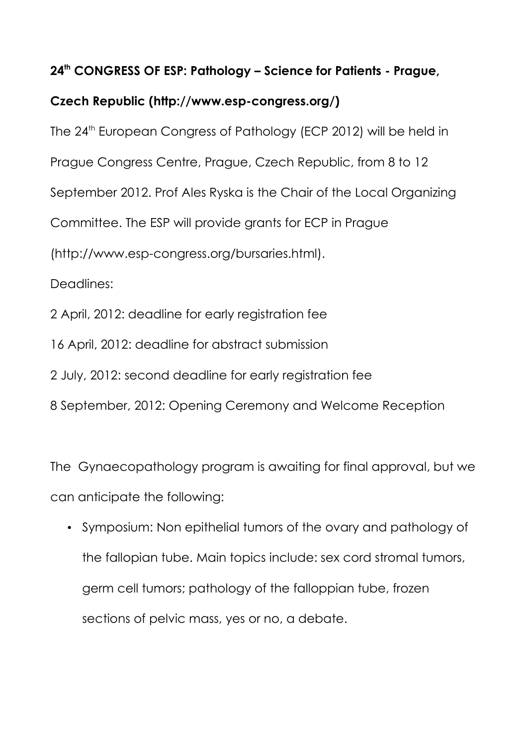### **24th CONGRESS OF ESP: Pathology – Science for Patients - Prague,**

## **Czech Republic (http://www.esp-congress.org/)**

The 24<sup>th</sup> European Congress of Pathology (ECP 2012) will be held in Prague Congress Centre, Prague, Czech Republic, from 8 to 12 September 2012. Prof Ales Ryska is the Chair of the Local Organizing Committee. The ESP will provide grants for ECP in Prague (http://www.esp-congress.org/bursaries.html). Deadlines: 2 April, 2012: deadline for early registration fee 16 April, 2012: deadline for abstract submission 2 July, 2012: second deadline for early registration fee 8 September, 2012: Opening Ceremony and Welcome Reception

The Gynaecopathology program is awaiting for final approval, but we can anticipate the following:

• Symposium: Non epithelial tumors of the ovary and pathology of the fallopian tube. Main topics include: sex cord stromal tumors, germ cell tumors; pathology of the falloppian tube, frozen sections of pelvic mass, yes or no, a debate.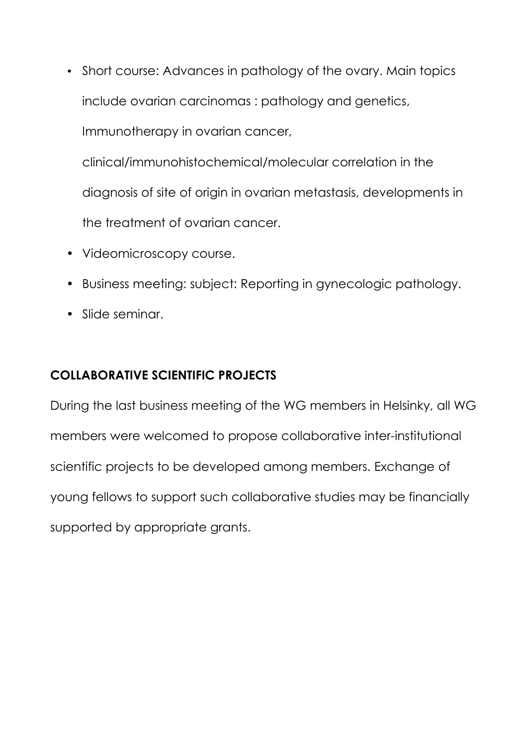- Short course: Advances in pathology of the ovary. Main topics include ovarian carcinomas : pathology and genetics, Immunotherapy in ovarian cancer, clinical/immunohistochemical/molecular correlation in the diagnosis of site of origin in ovarian metastasis, developments in the treatment of ovarian cancer.
- Videomicroscopy course.
- Business meeting: subject: Reporting in gynecologic pathology.
- Slide seminar.

## **COLLABORATIVE SCIENTIFIC PROJECTS**

During the last business meeting of the WG members in Helsinky, all WG members were welcomed to propose collaborative inter-institutional scientific projects to be developed among members. Exchange of young fellows to support such collaborative studies may be financially supported by appropriate grants.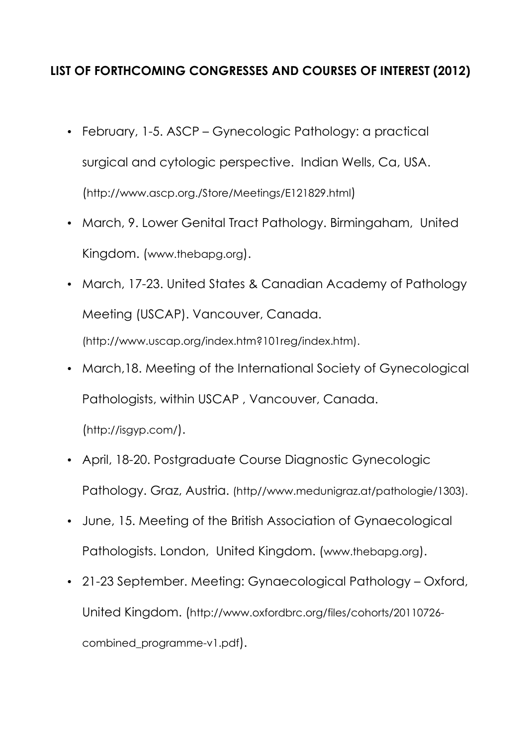## **LIST OF FORTHCOMING CONGRESSES AND COURSES OF INTEREST (2012)**

- February, 1-5. ASCP Gynecologic Pathology: a practical surgical and cytologic perspective. Indian Wells, Ca, USA. (<http://www.ascp.org./Store/Meetings/E121829.html>)
- March, 9. Lower Genital Tract Pathology. Birmingaham, United Kingdom. ([www.thebapg.org](http://www.thebapg.org/)).
- March, 17-23. United States & Canadian Academy of Pathology Meeting (USCAP). Vancouver, Canada. (http://www.uscap.org/index.htm?101reg/index.htm).
- March,18. Meeting of the International Society of Gynecological Pathologists, within USCAP , Vancouver, Canada. (<http://isgyp.com/>).
- April, 18-20. Postgraduate Course Diagnostic Gynecologic Pathology. Graz, Austria. (http//www.medunigraz.at/pathologie/1303).
- June, 15. Meeting of the British Association of Gynaecological Pathologists. London, United Kingdom. ([www.thebapg.org](http://www.thebapg.org/)).
- 21-23 September. Meeting: Gynaecological Pathology Oxford, United Kingdom. ([http://www.oxfordbrc.org/files/cohorts/20110726](http://www.oxfordbrc.org/files/cohorts/20110726-combined_programme-v1.pdf) [combined\\_programme-v1.pdf](http://www.oxfordbrc.org/files/cohorts/20110726-combined_programme-v1.pdf)).